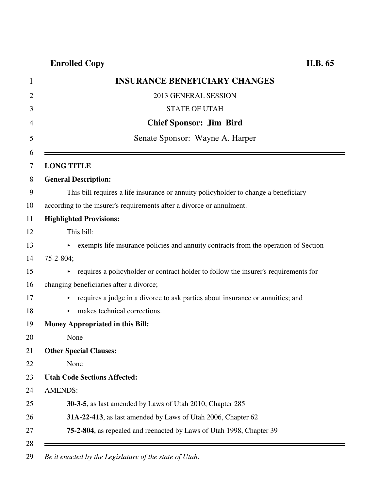| 1              | <b>INSURANCE BENEFICIARY CHANGES</b>                                                     |
|----------------|------------------------------------------------------------------------------------------|
| $\overline{2}$ | 2013 GENERAL SESSION                                                                     |
| 3              | <b>STATE OF UTAH</b>                                                                     |
| 4              | <b>Chief Sponsor: Jim Bird</b>                                                           |
| 5              | Senate Sponsor: Wayne A. Harper                                                          |
| 6<br>7         | <b>LONG TITLE</b>                                                                        |
| 8              | <b>General Description:</b>                                                              |
| 9              | This bill requires a life insurance or annuity policyholder to change a beneficiary      |
| 10             | according to the insurer's requirements after a divorce or annulment.                    |
| 11             | <b>Highlighted Provisions:</b>                                                           |
| 12             | This bill:                                                                               |
|                | exempts life insurance policies and annuity contracts from the operation of Section      |
|                | 75-2-804;                                                                                |
| 15             | requires a policyholder or contract holder to follow the insurer's requirements for<br>► |
| 16             | changing beneficiaries after a divorce;                                                  |
|                | requires a judge in a divorce to ask parties about insurance or annuities; and           |
|                | makes technical corrections.                                                             |
|                | <b>Money Appropriated in this Bill:</b>                                                  |
|                | None                                                                                     |
|                | <b>Other Special Clauses:</b>                                                            |
|                | None                                                                                     |
| 23             | <b>Utah Code Sections Affected:</b>                                                      |
| 24             | <b>AMENDS:</b>                                                                           |
| 25             | 30-3-5, as last amended by Laws of Utah 2010, Chapter 285                                |
|                | 31A-22-413, as last amended by Laws of Utah 2006, Chapter 62                             |
|                | 75-2-804, as repealed and reenacted by Laws of Utah 1998, Chapter 39                     |
| 28             |                                                                                          |

29 *Be it enacted by the Legislature of the state of Utah:*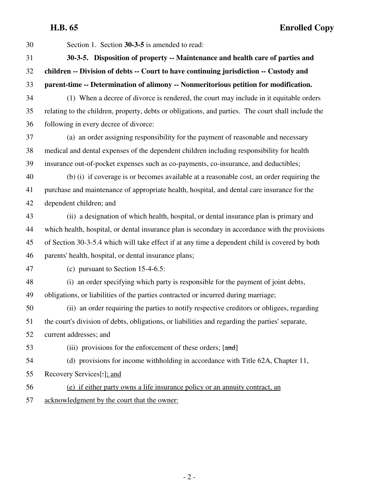**H.B. 65 Enrolled Copy**

| 30 | Section 1. Section 30-3-5 is amended to read:                                                      |
|----|----------------------------------------------------------------------------------------------------|
| 31 | 30-3-5. Disposition of property -- Maintenance and health care of parties and                      |
| 32 | children -- Division of debts -- Court to have continuing jurisdiction -- Custody and              |
| 33 | parent-time -- Determination of alimony -- Nonmeritorious petition for modification.               |
| 34 | (1) When a decree of divorce is rendered, the court may include in it equitable orders             |
| 35 | relating to the children, property, debts or obligations, and parties. The court shall include the |
| 36 | following in every decree of divorce:                                                              |
| 37 | (a) an order assigning responsibility for the payment of reasonable and necessary                  |
| 38 | medical and dental expenses of the dependent children including responsibility for health          |
| 39 | insurance out-of-pocket expenses such as co-payments, co-insurance, and deductibles;               |
| 40 | (b) (i) if coverage is or becomes available at a reasonable cost, an order requiring the           |
| 41 | purchase and maintenance of appropriate health, hospital, and dental care insurance for the        |
| 42 | dependent children; and                                                                            |
| 43 | (ii) a designation of which health, hospital, or dental insurance plan is primary and              |
| 44 | which health, hospital, or dental insurance plan is secondary in accordance with the provisions    |
| 45 | of Section 30-3-5.4 which will take effect if at any time a dependent child is covered by both     |
| 46 | parents' health, hospital, or dental insurance plans;                                              |
| 47 | (c) pursuant to Section 15-4-6.5:                                                                  |
| 48 | (i) an order specifying which party is responsible for the payment of joint debts,                 |
| 49 | obligations, or liabilities of the parties contracted or incurred during marriage;                 |
| 50 | (ii) an order requiring the parties to notify respective creditors or obligees, regarding          |
| 51 | the court's division of debts, obligations, or liabilities and regarding the parties' separate,    |
| 52 | current addresses; and                                                                             |
| 53 | (iii) provisions for the enforcement of these orders; [and]                                        |
| 54 | (d) provisions for income withholding in accordance with Title 62A, Chapter 11,                    |
| 55 | Recovery Services[.]; and                                                                          |
| 56 | (e) if either party owns a life insurance policy or an annuity contract, an                        |
| 57 | acknowledgment by the court that the owner:                                                        |
|    |                                                                                                    |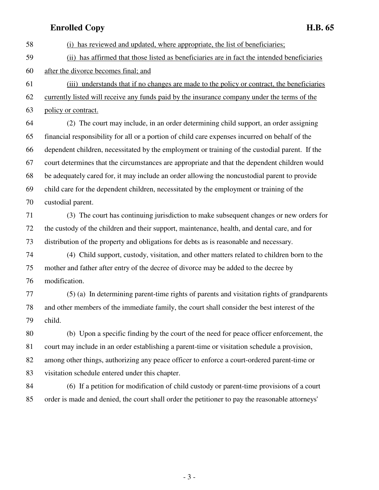58 (i) has reviewed and updated, where appropriate, the list of beneficiaries; 59 (ii) has affirmed that those listed as beneficiaries are in fact the intended beneficiaries 60 after the divorce becomes final; and 61 (iii) understands that if no changes are made to the policy or contract, the beneficiaries 62 currently listed will receive any funds paid by the insurance company under the terms of the 63 policy or contract. 64 (2) The court may include, in an order determining child support, an order assigning 65 financial responsibility for all or a portion of child care expenses incurred on behalf of the 66 dependent children, necessitated by the employment or training of the custodial parent. If the 67 court determines that the circumstances are appropriate and that the dependent children would 68 be adequately cared for, it may include an order allowing the noncustodial parent to provide 69 child care for the dependent children, necessitated by the employment or training of the 70 custodial parent. 71 (3) The court has continuing jurisdiction to make subsequent changes or new orders for 72 the custody of the children and their support, maintenance, health, and dental care, and for 73 distribution of the property and obligations for debts as is reasonable and necessary. 74 (4) Child support, custody, visitation, and other matters related to children born to the 75 mother and father after entry of the decree of divorce may be added to the decree by 76 modification. 77 (5) (a) In determining parent-time rights of parents and visitation rights of grandparents 78 and other members of the immediate family, the court shall consider the best interest of the 79 child. 80 (b) Upon a specific finding by the court of the need for peace officer enforcement, the 81 court may include in an order establishing a parent-time or visitation schedule a provision, 82 among other things, authorizing any peace officer to enforce a court-ordered parent-time or 83 visitation schedule entered under this chapter. 84 (6) If a petition for modification of child custody or parent-time provisions of a court 85 order is made and denied, the court shall order the petitioner to pay the reasonable attorneys'

- 3 -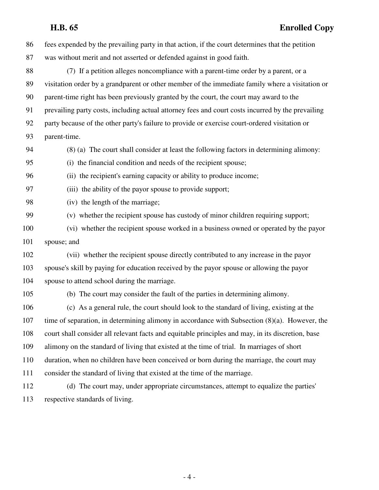| 86  | fees expended by the prevailing party in that action, if the court determines that the petition   |
|-----|---------------------------------------------------------------------------------------------------|
| 87  | was without merit and not asserted or defended against in good faith.                             |
| 88  | (7) If a petition alleges noncompliance with a parent-time order by a parent, or a                |
| 89  | visitation order by a grandparent or other member of the immediate family where a visitation or   |
| 90  | parent-time right has been previously granted by the court, the court may award to the            |
| 91  | prevailing party costs, including actual attorney fees and court costs incurred by the prevailing |
| 92  | party because of the other party's failure to provide or exercise court-ordered visitation or     |
| 93  | parent-time.                                                                                      |
| 94  | (8) (a) The court shall consider at least the following factors in determining alimony:           |
| 95  | (i) the financial condition and needs of the recipient spouse;                                    |
| 96  | (ii) the recipient's earning capacity or ability to produce income;                               |
| 97  | (iii) the ability of the payor spouse to provide support;                                         |
| 98  | (iv) the length of the marriage;                                                                  |
| 99  | (v) whether the recipient spouse has custody of minor children requiring support;                 |
| 100 | (vi) whether the recipient spouse worked in a business owned or operated by the payor             |
| 101 | spouse; and                                                                                       |
| 102 | (vii) whether the recipient spouse directly contributed to any increase in the payor              |
| 103 | spouse's skill by paying for education received by the payor spouse or allowing the payor         |
| 104 | spouse to attend school during the marriage.                                                      |
| 105 | (b) The court may consider the fault of the parties in determining alimony.                       |
| 106 | (c) As a general rule, the court should look to the standard of living, existing at the           |
| 107 | time of separation, in determining alimony in accordance with Subsection (8)(a). However, the     |
| 108 | court shall consider all relevant facts and equitable principles and may, in its discretion, base |
| 109 | alimony on the standard of living that existed at the time of trial. In marriages of short        |
| 110 | duration, when no children have been conceived or born during the marriage, the court may         |
| 111 | consider the standard of living that existed at the time of the marriage.                         |
| 112 | (d) The court may, under appropriate circumstances, attempt to equalize the parties'              |
| 113 | respective standards of living.                                                                   |
|     |                                                                                                   |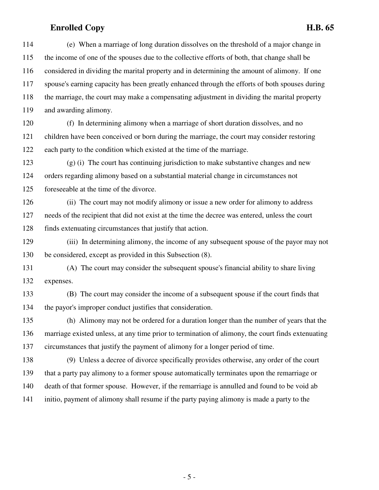114 (e) When a marriage of long duration dissolves on the threshold of a major change in 115 the income of one of the spouses due to the collective efforts of both, that change shall be 116 considered in dividing the marital property and in determining the amount of alimony. If one 117 spouse's earning capacity has been greatly enhanced through the efforts of both spouses during 118 the marriage, the court may make a compensating adjustment in dividing the marital property 119 and awarding alimony.

120 (f) In determining alimony when a marriage of short duration dissolves, and no 121 children have been conceived or born during the marriage, the court may consider restoring 122 each party to the condition which existed at the time of the marriage.

123 (g) (i) The court has continuing jurisdiction to make substantive changes and new 124 orders regarding alimony based on a substantial material change in circumstances not 125 foreseeable at the time of the divorce.

126 (ii) The court may not modify alimony or issue a new order for alimony to address 127 needs of the recipient that did not exist at the time the decree was entered, unless the court 128 finds extenuating circumstances that justify that action.

129 (iii) In determining alimony, the income of any subsequent spouse of the payor may not 130 be considered, except as provided in this Subsection (8).

131 (A) The court may consider the subsequent spouse's financial ability to share living 132 expenses.

133 (B) The court may consider the income of a subsequent spouse if the court finds that 134 the payor's improper conduct justifies that consideration.

135 (h) Alimony may not be ordered for a duration longer than the number of years that the 136 marriage existed unless, at any time prior to termination of alimony, the court finds extenuating 137 circumstances that justify the payment of alimony for a longer period of time.

138 (9) Unless a decree of divorce specifically provides otherwise, any order of the court 139 that a party pay alimony to a former spouse automatically terminates upon the remarriage or 140 death of that former spouse. However, if the remarriage is annulled and found to be void ab 141 initio, payment of alimony shall resume if the party paying alimony is made a party to the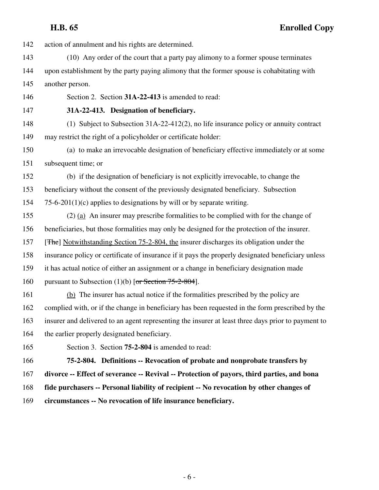**H.B. 65 Enrolled Copy**

142 action of annulment and his rights are determined. 143 (10) Any order of the court that a party pay alimony to a former spouse terminates 144 upon establishment by the party paying alimony that the former spouse is cohabitating with 145 another person. 146 Section 2. Section **31A-22-413** is amended to read: 147 **31A-22-413. Designation of beneficiary.** 148 (1) Subject to Subsection 31A-22-412(2), no life insurance policy or annuity contract 149 may restrict the right of a policyholder or certificate holder: 150 (a) to make an irrevocable designation of beneficiary effective immediately or at some 151 subsequent time; or 152 (b) if the designation of beneficiary is not explicitly irrevocable, to change the 153 beneficiary without the consent of the previously designated beneficiary. Subsection 154 75-6-201(1)(c) applies to designations by will or by separate writing. 155 (2) (a) An insurer may prescribe formalities to be complied with for the change of 156 beneficiaries, but those formalities may only be designed for the protection of the insurer. 157 [The] Notwithstanding Section 75-2-804, the insurer discharges its obligation under the 158 insurance policy or certificate of insurance if it pays the properly designated beneficiary unless 159 it has actual notice of either an assignment or a change in beneficiary designation made 160 pursuant to Subsection  $(1)(b)$  [or Section 75-2-804]. 161 (b) The insurer has actual notice if the formalities prescribed by the policy are 162 complied with, or if the change in beneficiary has been requested in the form prescribed by the 163 insurer and delivered to an agent representing the insurer at least three days prior to payment to 164 the earlier properly designated beneficiary. 165 Section 3. Section **75-2-804** is amended to read: 166 **75-2-804. Definitions -- Revocation of probate and nonprobate transfers by** 167 **divorce -- Effect of severance -- Revival -- Protection of payors, third parties, and bona** 168 **fide purchasers -- Personal liability of recipient -- No revocation by other changes of** 169 **circumstances -- No revocation of life insurance beneficiary.**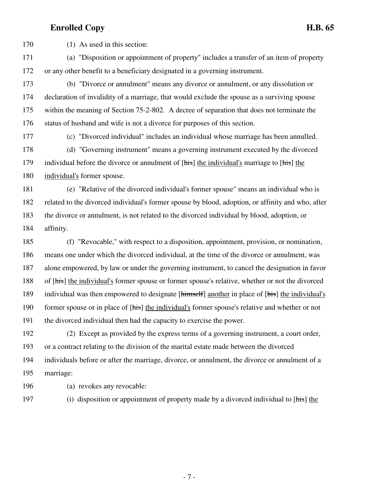170 (1) As used in this section:

171 (a) "Disposition or appointment of property" includes a transfer of an item of property 172 or any other benefit to a beneficiary designated in a governing instrument.

173 (b) "Divorce or annulment" means any divorce or annulment, or any dissolution or 174 declaration of invalidity of a marriage, that would exclude the spouse as a surviving spouse 175 within the meaning of Section 75-2-802. A decree of separation that does not terminate the 176 status of husband and wife is not a divorce for purposes of this section.

177 (c) "Divorced individual" includes an individual whose marriage has been annulled. 178 (d) "Governing instrument" means a governing instrument executed by the divorced 179 individual before the divorce or annulment of  $[\overline{h}$ the individual's marriage to  $[\overline{h}$ the 180 individual's former spouse.

181 (e) "Relative of the divorced individual's former spouse" means an individual who is 182 related to the divorced individual's former spouse by blood, adoption, or affinity and who, after 183 the divorce or annulment, is not related to the divorced individual by blood, adoption, or 184 affinity.

185 (f) "Revocable," with respect to a disposition, appointment, provision, or nomination, 186 means one under which the divorced individual, at the time of the divorce or annulment, was 187 alone empowered, by law or under the governing instrument, to cancel the designation in favor 188 of [his] the individual's former spouse or former spouse's relative, whether or not the divorced 189 individual was then empowered to designate [himself] another in place of [his] the individual's 190 former spouse or in place of [his] the individual's former spouse's relative and whether or not 191 the divorced individual then had the capacity to exercise the power.

192 (2) Except as provided by the express terms of a governing instrument, a court order, 193 or a contract relating to the division of the marital estate made between the divorced 194 individuals before or after the marriage, divorce, or annulment, the divorce or annulment of a 195 marriage:

196 (a) revokes any revocable:

197 (i) disposition or appointment of property made by a divorced individual to [his] the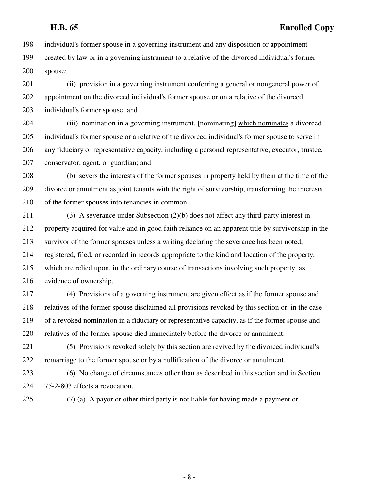## **H.B. 65 Enrolled Copy**

198 individual's former spouse in a governing instrument and any disposition or appointment 199 created by law or in a governing instrument to a relative of the divorced individual's former 200 spouse;

201 (ii) provision in a governing instrument conferring a general or nongeneral power of 202 appointment on the divorced individual's former spouse or on a relative of the divorced 203 individual's former spouse; and

204 (iii) nomination in a governing instrument, [nominating] which nominates a divorced 205 individual's former spouse or a relative of the divorced individual's former spouse to serve in 206 any fiduciary or representative capacity, including a personal representative, executor, trustee, 207 conservator, agent, or guardian; and

208 (b) severs the interests of the former spouses in property held by them at the time of the 209 divorce or annulment as joint tenants with the right of survivorship, transforming the interests 210 of the former spouses into tenancies in common.

211 (3) A severance under Subsection (2)(b) does not affect any third-party interest in 212 property acquired for value and in good faith reliance on an apparent title by survivorship in the 213 survivor of the former spouses unless a writing declaring the severance has been noted, 214 registered, filed, or recorded in records appropriate to the kind and location of the property, 215 which are relied upon, in the ordinary course of transactions involving such property, as 216 evidence of ownership.

217 (4) Provisions of a governing instrument are given effect as if the former spouse and 218 relatives of the former spouse disclaimed all provisions revoked by this section or, in the case 219 of a revoked nomination in a fiduciary or representative capacity, as if the former spouse and 220 relatives of the former spouse died immediately before the divorce or annulment.

221 (5) Provisions revoked solely by this section are revived by the divorced individual's 222 remarriage to the former spouse or by a nullification of the divorce or annulment.

223 (6) No change of circumstances other than as described in this section and in Section 224 75-2-803 effects a revocation.

225 (7) (a) A payor or other third party is not liable for having made a payment or

- 8 -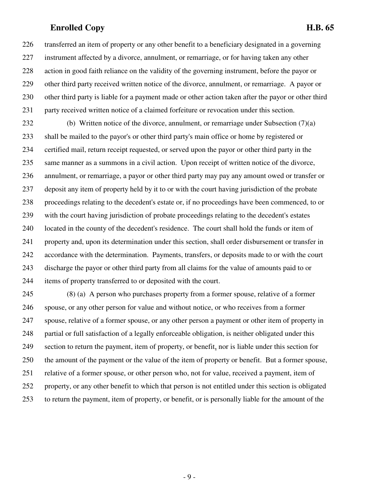226 transferred an item of property or any other benefit to a beneficiary designated in a governing 227 instrument affected by a divorce, annulment, or remarriage, or for having taken any other 228 action in good faith reliance on the validity of the governing instrument, before the payor or 229 other third party received written notice of the divorce, annulment, or remarriage. A payor or 230 other third party is liable for a payment made or other action taken after the payor or other third 231 party received written notice of a claimed forfeiture or revocation under this section.

232 (b) Written notice of the divorce, annulment, or remarriage under Subsection (7)(a) 233 shall be mailed to the payor's or other third party's main office or home by registered or 234 certified mail, return receipt requested, or served upon the payor or other third party in the 235 same manner as a summons in a civil action. Upon receipt of written notice of the divorce, 236 annulment, or remarriage, a payor or other third party may pay any amount owed or transfer or 237 deposit any item of property held by it to or with the court having jurisdiction of the probate 238 proceedings relating to the decedent's estate or, if no proceedings have been commenced, to or 239 with the court having jurisdiction of probate proceedings relating to the decedent's estates 240 located in the county of the decedent's residence. The court shall hold the funds or item of 241 property and, upon its determination under this section, shall order disbursement or transfer in 242 accordance with the determination. Payments, transfers, or deposits made to or with the court 243 discharge the payor or other third party from all claims for the value of amounts paid to or 244 items of property transferred to or deposited with the court.

245 (8) (a) A person who purchases property from a former spouse, relative of a former 246 spouse, or any other person for value and without notice, or who receives from a former 247 spouse, relative of a former spouse, or any other person a payment or other item of property in 248 partial or full satisfaction of a legally enforceable obligation, is neither obligated under this 249 section to return the payment, item of property, or benefit, nor is liable under this section for 250 the amount of the payment or the value of the item of property or benefit. But a former spouse, 251 relative of a former spouse, or other person who, not for value, received a payment, item of 252 property, or any other benefit to which that person is not entitled under this section is obligated 253 to return the payment, item of property, or benefit, or is personally liable for the amount of the

- 9 -